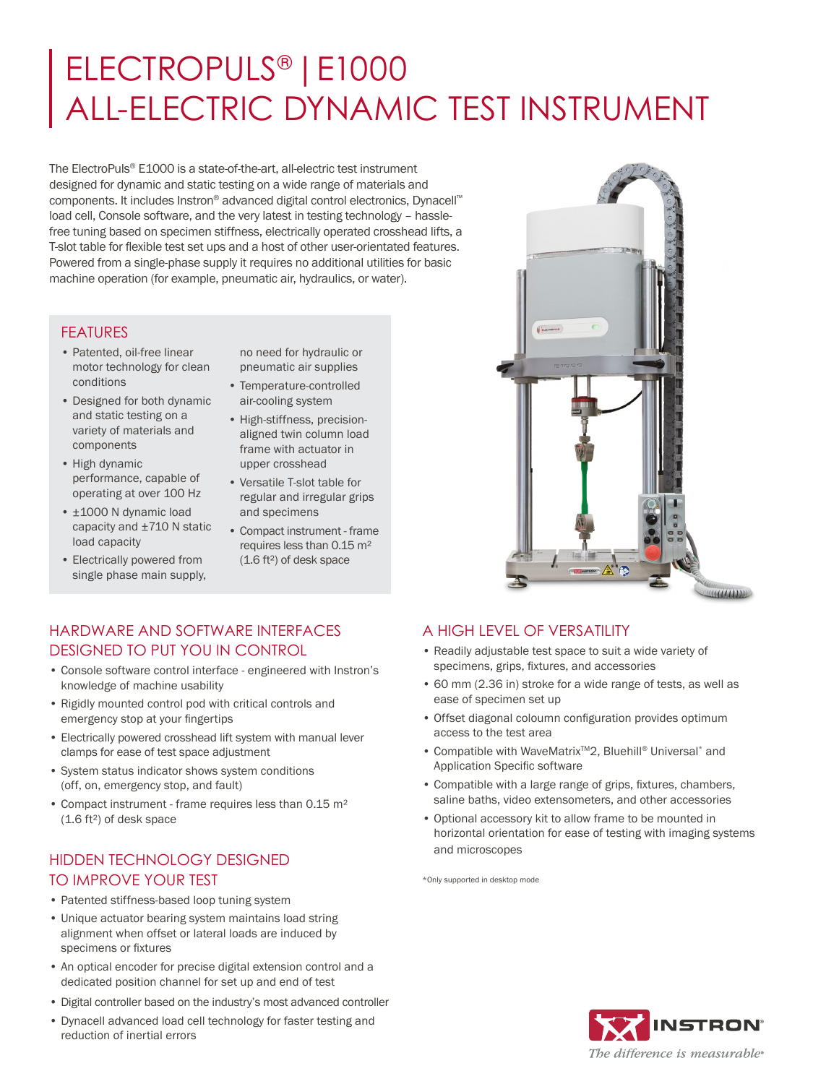# ELECTROPULS® |E1000 ALL-ELECTRIC DYNAMIC TEST INSTRUMENT

The ElectroPuls® E1000 is a state-of-the-art, all-electric test instrument designed for dynamic and static testing on a wide range of materials and components. It includes Instron® advanced digital control electronics, Dynacell™ load cell, Console software, and the very latest in testing technology – hasslefree tuning based on specimen stiffness, electrically operated crosshead lifts, a T-slot table for flexible test set ups and a host of other user-orientated features. Powered from a single-phase supply it requires no additional utilities for basic machine operation (for example, pneumatic air, hydraulics, or water).

#### FEATURES

- Patented, oil-free linear motor technology for clean conditions
- Designed for both dynamic and static testing on a variety of materials and components
- High dynamic performance, capable of operating at over 100 Hz
- ±1000 N dynamic load capacity and ±710 N static load capacity
- Electrically powered from single phase main supply,

no need for hydraulic or pneumatic air supplies

- Temperature-controlled air-cooling system
- High-stiffness, precisionaligned twin column load frame with actuator in upper crosshead
- Versatile T-slot table for regular and irregular grips and specimens
- Compact instrument frame requires less than 0.15 m² (1.6 ft²) of desk space



WWW

#### HARDWARE AND SOFTWARE INTERFACES DESIGNED TO PUT YOU IN CONTROL

- Console software control interface engineered with Instron's knowledge of machine usability
- Rigidly mounted control pod with critical controls and emergency stop at your fingertips
- Electrically powered crosshead lift system with manual lever clamps for ease of test space adjustment
- System status indicator shows system conditions (off, on, emergency stop, and fault)
- Compact instrument frame requires less than 0.15 m² (1.6 ft²) of desk space

# HIDDEN TECHNOLOGY DESIGNED TO IMPROVE YOUR TEST

- Patented stiffness-based loop tuning system
- Unique actuator bearing system maintains load string alignment when offset or lateral loads are induced by specimens or fixtures
- An optical encoder for precise digital extension control and a dedicated position channel for set up and end of test
- Digital controller based on the industry's most advanced controller
- Dynacell advanced load cell technology for faster testing and reduction of inertial errors

## A HIGH LEVEL OF VERSATILITY

- Readily adjustable test space to suit a wide variety of specimens, grips, fixtures, and accessories
- 60 mm (2.36 in) stroke for a wide range of tests, as well as ease of specimen set up
- Offset diagonal coloumn configuration provides optimum access to the test area
- Compatible with WaveMatrixTM2, Bluehill® Universal\* and Application Specific software
- Compatible with a large range of grips, fixtures, chambers, saline baths, video extensometers, and other accessories
- Optional accessory kit to allow frame to be mounted in horizontal orientation for ease of testing with imaging systems and microscopes

\*Only supported in desktop mode